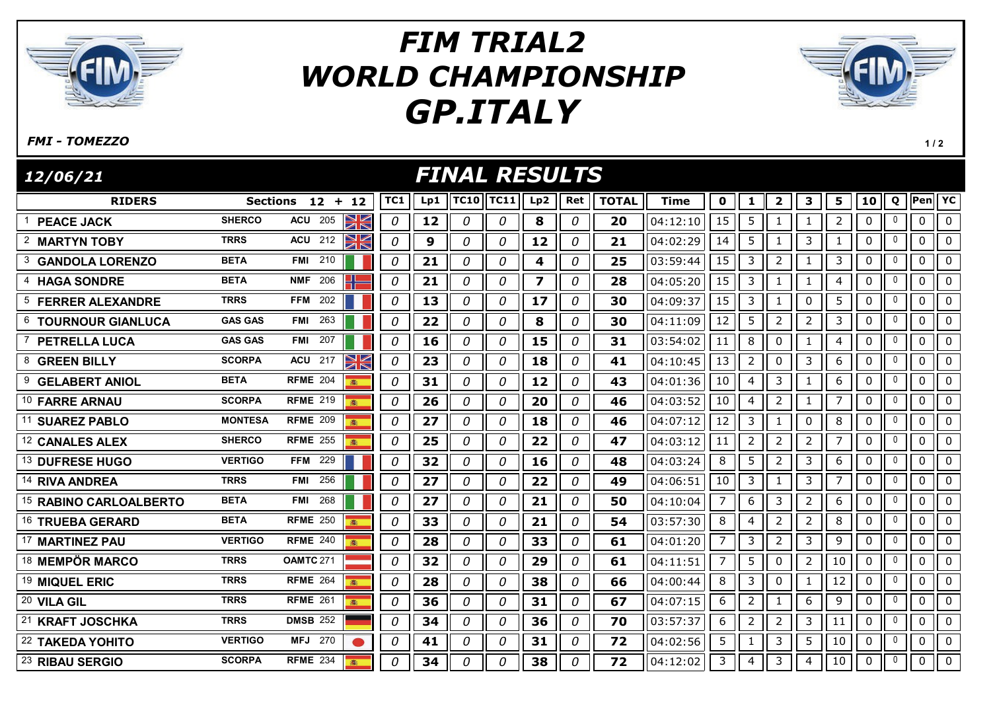

## GP.ITALY FIM TRIAL2 WORLD CHAMPIONSHIP



FMI - TOMEZZO

 $1/2$ 

| <i>FINAL RESULTS</i><br>12/06/21     |                |                    |          |          |                  |             |             |                         |               |              |             |                |                |                |                |                |             |              |              |                 |
|--------------------------------------|----------------|--------------------|----------|----------|------------------|-------------|-------------|-------------------------|---------------|--------------|-------------|----------------|----------------|----------------|----------------|----------------|-------------|--------------|--------------|-----------------|
| <b>RIDERS</b>                        |                | Sections $12 + 12$ |          | TC1      | Lp1              | <b>TC10</b> | <b>TC11</b> | Lp2                     | Ret           | <b>TOTAL</b> | <b>Time</b> | 0              | 1              | $\mathbf{2}$   | 3              | 5              | 10          | Q            | Pen VC       |                 |
| <b>PEACE JACK</b>                    | <b>SHERCO</b>  | <b>ACU</b><br>205  | XK       | 0        | 12               | 0           | 0           | 8                       | 0             | 20           | 04:12:10    | 15             | 5              | 1              | $\mathbf{1}$   | $\overline{2}$ | 0           | $\Omega$     | $\mathbf{0}$ | $\Omega$        |
| $\overline{2}$<br><b>MARTYN TOBY</b> | <b>TRRS</b>    | 212<br><b>ACU</b>  | NK       | 0        | $\boldsymbol{9}$ | 0           | $\theta$    | 12                      | $\mathcal{O}$ | 21           | 04:02:29    | 14             | 5              | 1              | $\mathsf{3}$   | $\mathbf{1}$   | 0           |              | $\Omega$     | $\Omega$        |
| 3<br><b>GANDOLA LORENZO</b>          | <b>BETA</b>    | 210<br><b>FMI</b>  |          | 0        | 21               | 0           | $\theta$    | 4                       | 0             | 25           | 03:59:44    | 15             | 3              | $\overline{2}$ | $\mathbf{1}$   | 3              | $\mathbf 0$ | $\mathbf{0}$ | $\mathbf{0}$ | 0               |
| <b>HAGA SONDRE</b>                   | <b>BETA</b>    | 206<br><b>NMF</b>  |          | 0        | 21               | 0           | 0           | $\overline{\mathbf{z}}$ | 0             | 28           | 04:05:20    | 15             | 3              | 1              | 1              | 4              | 0           | $\Omega$     | $\mathbf{0}$ | $\mathbf{0}$    |
| <sup>5</sup> FERRER ALEXANDRE        | <b>TRRS</b>    | 202<br><b>FFM</b>  |          | 0        | 13               | 0           | 0           | 17                      | 0             | 30           | 04:09:37    | 15             | 3              | 1              | 0              | 5              | $\mathbf 0$ | $\mathbf{0}$ | $\mathbf{0}$ | $\mathbf{0}$    |
| 6 TOURNOUR GIANLUCA                  | <b>GAS GAS</b> | 263<br><b>FMI</b>  |          | 0        | 22               | 0           | 0           | 8                       | 0             | 30           | 04:11:09    | 12             | 5              | $\overline{2}$ | $\overline{2}$ | 3              | 0           | $\mathbf{0}$ | $\mathbf{0}$ | 0               |
| <b>PETRELLA LUCA</b>                 | <b>GAS GAS</b> | <b>FMI</b> 207     |          | 0        | 16               | 0           | 0           | 15                      | 0             | 31           | 03:54:02    | 11             | 8              | $\mathbf 0$    | 1              | $\overline{4}$ | 0           | 0            | $\mathbf 0$  | 0               |
| 8 GREEN BILLY                        | <b>SCORPA</b>  | <b>ACU</b> 217     | NK<br>ZK | 0        | 23               | 0           | 0           | 18                      | 0             | 41           | 04:10:45    | 13             | $\overline{2}$ | $\mathbf 0$    | 3              | 6              | $\pmb{0}$   | $\mathbf{0}$ | $\mathbf{0}$ | $\Omega$        |
| 9<br><b>GELABERT ANIOL</b>           | <b>BETA</b>    | <b>RFME 204</b>    |          | 0        | 31               | 0           | 0           | 12                      | 0             | 43           | 04:01:36    | 10             | 4              | 3              | 1              | 6              | 0           | $\mathbf{0}$ | 0            | 0               |
| 10 FARRE ARNAU                       | <b>SCORPA</b>  | <b>RFME 219</b>    |          | 0        | 26               | 0           | 0           | 20                      | 0             | 46           | 04:03:52    | 10             | $\overline{4}$ | $\overline{2}$ | $\mathbf{1}$   | $\overline{7}$ | 0           | $\mathbf{0}$ | $\mathbf{0}$ | $\mathbf{0}$    |
| 11<br><b>SUAREZ PABLO</b>            | <b>MONTESA</b> | <b>RFME 209</b>    |          | 0        | 27               | 0           | 0           | 18                      | 0             | 46           | 04:07:12    | 12             | 3              | 1              | $\mathbf 0$    | 8              | 0           | 0            | $\mathbf 0$  | 0               |
| 12 CANALES ALEX                      | <b>SHERCO</b>  | <b>RFME 255</b>    |          | 0        | 25               | 0           | 0           | 22                      | 0             | 47           | 04:03:12    | 11             | $\overline{2}$ | $\overline{2}$ | $\overline{2}$ | 7              | 0           | 0            | $\mathbf 0$  | $\mathbf 0$     |
| <sup>13</sup> DUFRESE HUGO           | <b>VERTIGO</b> | <b>FFM</b><br>229  |          | 0        | 32               | 0           | 0           | 16                      | 0             | 48           | 04:03:24    | 8              | 5              | $\overline{2}$ | 3              | 6              | 0           | 0            | 0            | $\mathbf 0$     |
| 14 RIVA ANDREA                       | <b>TRRS</b>    | 256<br>FMI         |          | 0        | 27               | 0           | 0           | 22                      | 0             | 49           | 04:06:51    | 10             | 3              | 1              | $\mathbf{3}$   | $\overline{7}$ | 0           | 0            | $\mathbf{0}$ | $\Omega$        |
| <sup>15</sup> RABINO CARLOALBERTO    | <b>BETA</b>    | 268<br><b>FMI</b>  |          | 0        | 27               | 0           | 0           | 21                      | 0             | 50           | 04:10:04    | $\overline{7}$ | 6              | 3              | $2^{\circ}$    | 6              | 0           | 0            | 0            | $\mathbf 0$     |
| 16 TRUEBA GERARD                     | <b>BETA</b>    | <b>RFME 250</b>    |          | 0        | 33               | 0           | 0           | 21                      | 0             | 54           | 03:57:30    | 8              | 4              | $\overline{2}$ | $2^{\circ}$    | 8              | 0           | 0            | $\mathbf{0}$ | $\Omega$        |
| 17 MARTINEZ PAU                      | <b>VERTIGO</b> | <b>RFME 240</b>    |          | 0        | 28               | 0           | 0           | 33                      | 0             | 61           | 04:01:20    | 7              | 3              | $\overline{2}$ | $\mathbf{3}$   | 9              | $\mathbf 0$ | $\mathbf{0}$ | 0            | $\mathbf 0$     |
| <sup>18</sup> MEMPÖR MARCO           | <b>TRRS</b>    | OAMTC 271          |          | 0        | 32               | 0           | 0           | 29                      | 0             | 61           | 04:11:51    | 7              | 5              | $\pmb{0}$      | $\overline{2}$ | 10             | 0           | 0            | 0            | $\mathbf 0$     |
| 19 MIQUEL ERIC                       | <b>TRRS</b>    | <b>RFME</b> 264    |          | 0        | 28               | 0           | 0           | 38                      | 0             | 66           | 04:00:44    | 8              | 3              | 0              | $\mathbf{1}$   | 12             | 0           | 0            | 0            | $\mathbf 0$     |
| 20 VILA GIL                          | <b>TRRS</b>    | <b>RFME 261</b>    |          | 0        | 36               | 0           | 0           | 31                      | 0             | 67           | 04:07:15    | 6              | $\overline{2}$ | $\mathbf{1}$   | 6              | $9\,$          | $\pmb{0}$   | 0            | $\mathbf 0$  | $\mathbf 0$     |
| 21 KRAFT JOSCHKA                     | <b>TRRS</b>    | <b>DMSB 252</b>    |          | 0        | 34               | 0           | 0           | 36                      | 0             | 70           | 03:57:37    | 6              | $\overline{2}$ | $\overline{2}$ | 3              | 11             | $\pmb{0}$   | $\Omega$     | $\pmb{0}$    | $\mathbf{0}$    |
| 22 TAKEDA YOHITO                     | <b>VERTIGO</b> | <b>MFJ</b> 270     |          | 0        | 41               | 0           | 0           | 31                      | 0             | 72           | 04:02:56    | 5              | $\mathbf{1}$   | 3              | 5              | 10             | $\pmb{0}$   |              | $\mathbf{0}$ | $\Omega$        |
| <sup>23</sup> RIBAU SERGIO           | <b>SCORPA</b>  | <b>RFME 234</b>    |          | $\Omega$ | 34               | 0           | 0           | 38                      | 0             | 72           | 04:12:02    | 3              | 4              | 3              | 4              | 10             | 0           | 0            | 0            | $\mathsf{II}$ o |